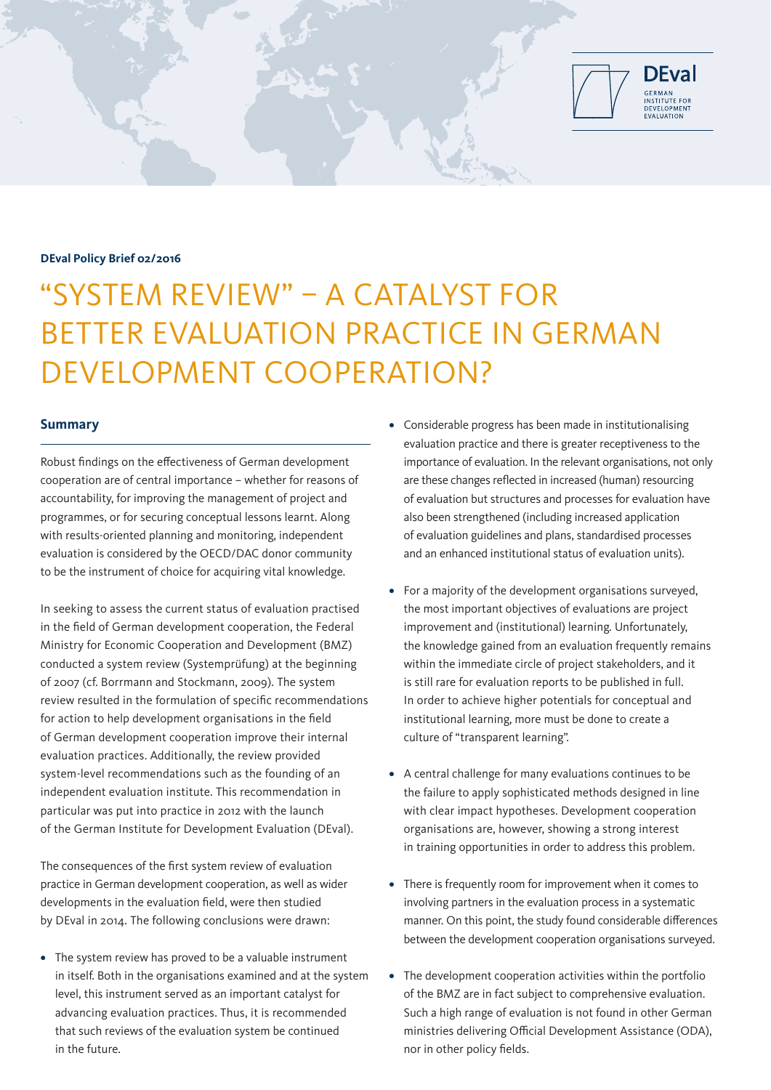

### **DEval Policy Brief 02/2016**

# "SYSTEM REVIEW" – A CATALYST FOR BETTER EVALUATION PRACTICE IN GERMAN DEVELOPMENT COOPERATION?

## **Summary**

Robust findings on the effectiveness of German development cooperation are of central importance – whether for reasons of accountability, for improving the management of project and programmes, or for securing conceptual lessons learnt. Along with results-oriented planning and monitoring, independent evaluation is considered by the OECD/DAC donor community to be the instrument of choice for acquiring vital knowledge.

In seeking to assess the current status of evaluation practised in the field of German development cooperation, the Federal Ministry for Economic Cooperation and Development (BMZ) conducted a system review (Systemprüfung) at the beginning of 2007 (cf. Borrmann and Stockmann, 2009). The system review resulted in the formulation of specific recommendations for action to help development organisations in the field of German development cooperation improve their internal evaluation practices. Additionally, the review provided system-level recommendations such as the founding of an independent evaluation institute. This recommendation in particular was put into practice in 2012 with the launch of the German Institute for Development Evaluation (DEval).

The consequences of the first system review of evaluation practice in German development cooperation, as well as wider developments in the evaluation field, were then studied by DEval in 2014. The following conclusions were drawn:

**•** The system review has proved to be a valuable instrument in itself. Both in the organisations examined and at the system level, this instrument served as an important catalyst for advancing evaluation practices. Thus, it is recommended that such reviews of the evaluation system be continued in the future.

- **•** Considerable progress has been made in institutionalising evaluation practice and there is greater receptiveness to the importance of evaluation. In the relevant organisations, not only are these changes reflected in increased (human) resourcing of evaluation but structures and processes for evaluation have also been strengthened (including increased application of evaluation guidelines and plans, standardised processes and an enhanced institutional status of evaluation units).
- **•** For a majority of the development organisations surveyed, the most important objectives of evaluations are project improvement and (institutional) learning. Unfortunately, the knowledge gained from an evaluation frequently remains within the immediate circle of project stakeholders, and it is still rare for evaluation reports to be published in full. In order to achieve higher potentials for conceptual and institutional learning, more must be done to create a culture of "transparent learning".
- **•** A central challenge for many evaluations continues to be the failure to apply sophisticated methods designed in line with clear impact hypotheses. Development cooperation organisations are, however, showing a strong interest in training opportunities in order to address this problem.
- **•** There is frequently room for improvement when it comes to involving partners in the evaluation process in a systematic manner. On this point, the study found considerable differences between the development cooperation organisations surveyed.
- **•** The development cooperation activities within the portfolio of the BMZ are in fact subject to comprehensive evaluation. Such a high range of evaluation is not found in other German ministries delivering Official Development Assistance (ODA), nor in other policy fields.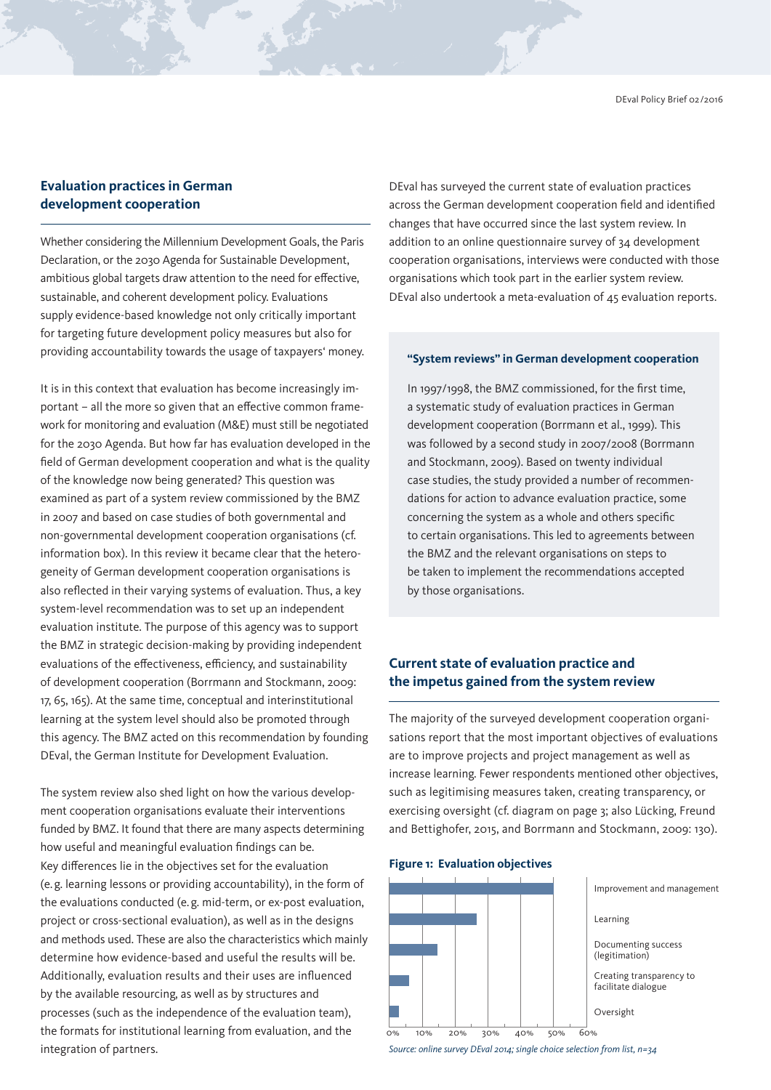# **Evaluation practices in German development cooperation**

Whether considering the Millennium Development Goals, the Paris Declaration, or the 2030 Agenda for Sustainable Development, ambitious global targets draw attention to the need for effective, sustainable, and coherent development policy. Evaluations supply evidence-based knowledge not only critically important for targeting future development policy measures but also for providing accountability towards the usage of taxpayers' money.

It is in this context that evaluation has become increasingly important – all the more so given that an effective common framework for monitoring and evaluation (M&E) must still be negotiated for the 2030 Agenda. But how far has evaluation developed in the field of German development cooperation and what is the quality of the knowledge now being generated? This question was examined as part of a system review commissioned by the BMZ in 2007 and based on case studies of both governmental and non-governmental development cooperation organisations (cf. information box). In this review it became clear that the heterogeneity of German development cooperation organisations is also reflected in their varying systems of evaluation. Thus, a key system-level recommendation was to set up an independent evaluation institute. The purpose of this agency was to support the BMZ in strategic decision-making by providing independent evaluations of the effectiveness, efficiency, and sustainability of development cooperation (Borrmann and Stockmann, 2009: 17, 65, 165). At the same time, conceptual and interinstitutional learning at the system level should also be promoted through this agency. The BMZ acted on this recommendation by founding DEval, the German Institute for Development Evaluation.

The system review also shed light on how the various development cooperation organisations evaluate their interventions funded by BMZ. It found that there are many aspects determining how useful and meaningful evaluation findings can be. Key differences lie in the objectives set for the evaluation (e.g. learning lessons or providing accountability), in the form of the evaluations conducted (e.g. mid-term, or ex-post evaluation, project or cross-sectional evaluation), as well as in the designs and methods used. These are also the characteristics which mainly determine how evidence-based and useful the results will be. Additionally, evaluation results and their uses are influenced by the available resourcing, as well as by structures and processes (such as the independence of the evaluation team), the formats for institutional learning from evaluation, and the integration of partners.

DEval has surveyed the current state of evaluation practices across the German development cooperation field and identified changes that have occurred since the last system review. In addition to an online questionnaire survey of 34 development cooperation organisations, interviews were conducted with those organisations which took part in the earlier system review. DEval also undertook a meta-evaluation of 45 evaluation reports.

**TY** 

#### **"System reviews" in German development cooperation**

In 1997/1998, the BMZ commissioned, for the first time, a systematic study of evaluation practices in German development cooperation (Borrmann et al., 1999). This was followed by a second study in 2007/2008 (Borrmann and Stockmann, 2009). Based on twenty individual case studies, the study provided a number of recommendations for action to advance evaluation practice, some concerning the system as a whole and others specific to certain organisations. This led to agreements between the BMZ and the relevant organisations on steps to be taken to implement the recommendations accepted by those organisations.

# **Current state of evaluation practice and the impetus gained from the system review**

The majority of the surveyed development cooperation organisations report that the most important objectives of evaluations are to improve projects and project management as well as increase learning. Fewer respondents mentioned other objectives, such as legitimising measures taken, creating transparency, or exercising oversight (cf. diagram on page 3; also Lücking, Freund and Bettighofer, 2015, and Borrmann and Stockmann, 2009: 130).





*Source: online survey DEval 2014; single choice selection from list, n=34*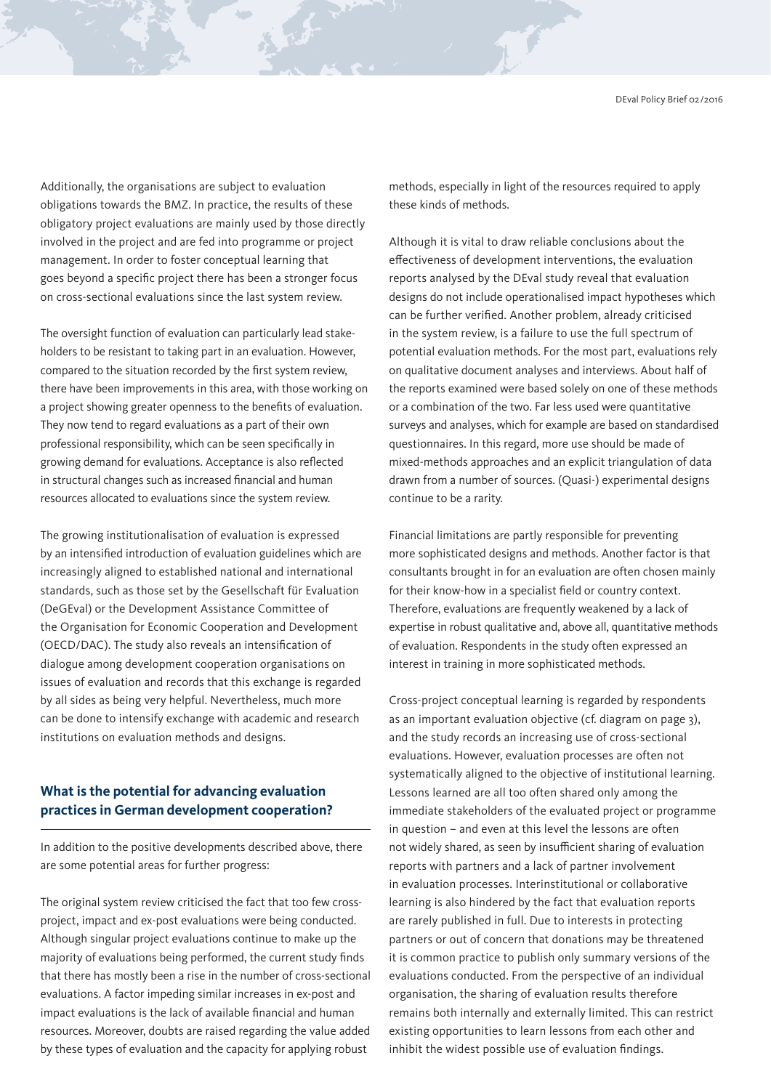Additionally, the organisations are subject to evaluation obligations towards the BMZ. In practice, the results of these obligatory project evaluations are mainly used by those directly involved in the project and are fed into programme or project management. In order to foster conceptual learning that goes beyond a specific project there has been a stronger focus on cross-sectional evaluations since the last system review.

The oversight function of evaluation can particularly lead stakeholders to be resistant to taking part in an evaluation. However, compared to the situation recorded by the first system review, there have been improvements in this area, with those working on a project showing greater openness to the benefits of evaluation. They now tend to regard evaluations as a part of their own professional responsibility, which can be seen specifically in growing demand for evaluations. Acceptance is also reflected in structural changes such as increased financial and human resources allocated to evaluations since the system review.

The growing institutionalisation of evaluation is expressed by an intensified introduction of evaluation guidelines which are increasingly aligned to established national and international standards, such as those set by the Gesellschaft für Evaluation (DeGEval) or the Development Assistance Committee of the Organisation for Economic Cooperation and Development (OECD/DAC). The study also reveals an intensification of dialogue among development cooperation organisations on issues of evaluation and records that this exchange is regarded by all sides as being very helpful. Nevertheless, much more can be done to intensify exchange with academic and research institutions on evaluation methods and designs.

# **What is the potential for advancing evaluation practices in German development cooperation?**

In addition to the positive developments described above, there are some potential areas for further progress:

The original system review criticised the fact that too few crossproject, impact and ex-post evaluations were being conducted. Although singular project evaluations continue to make up the majority of evaluations being performed, the current study finds that there has mostly been a rise in the number of cross-sectional evaluations. A factor impeding similar increases in ex-post and impact evaluations is the lack of available financial and human resources. Moreover, doubts are raised regarding the value added by these types of evaluation and the capacity for applying robust

methods, especially in light of the resources required to apply these kinds of methods.

**Contract of the Contract of the Contract of The Contract of The Contract of The Contract of The Contract of The Contract of The Contract of The Contract of The Contract of The Contract of The Contract of The Contract of T** 

Although it is vital to draw reliable conclusions about the effectiveness of development interventions, the evaluation reports analysed by the DEval study reveal that evaluation designs do not include operationalised impact hypotheses which can be further verified. Another problem, already criticised in the system review, is a failure to use the full spectrum of potential evaluation methods. For the most part, evaluations rely on qualitative document analyses and interviews. About half of the reports examined were based solely on one of these methods or a combination of the two. Far less used were quantitative surveys and analyses, which for example are based on standardised questionnaires. In this regard, more use should be made of mixed-methods approaches and an explicit triangulation of data drawn from a number of sources. (Quasi-) experimental designs continue to be a rarity.

Financial limitations are partly responsible for preventing more sophisticated designs and methods. Another factor is that consultants brought in for an evaluation are often chosen mainly for their know-how in a specialist field or country context. Therefore, evaluations are frequently weakened by a lack of expertise in robust qualitative and, above all, quantitative methods of evaluation. Respondents in the study often expressed an interest in training in more sophisticated methods.

Cross-project conceptual learning is regarded by respondents as an important evaluation objective (cf. diagram on page 3), and the study records an increasing use of cross-sectional evaluations. However, evaluation processes are often not systematically aligned to the objective of institutional learning. Lessons learned are all too often shared only among the immediate stakeholders of the evaluated project or programme in question – and even at this level the lessons are often not widely shared, as seen by insufficient sharing of evaluation reports with partners and a lack of partner involvement in evaluation processes. Interinstitutional or collaborative learning is also hindered by the fact that evaluation reports are rarely published in full. Due to interests in protecting partners or out of concern that donations may be threatened it is common practice to publish only summary versions of the evaluations conducted. From the perspective of an individual organisation, the sharing of evaluation results therefore remains both internally and externally limited. This can restrict existing opportunities to learn lessons from each other and inhibit the widest possible use of evaluation findings.